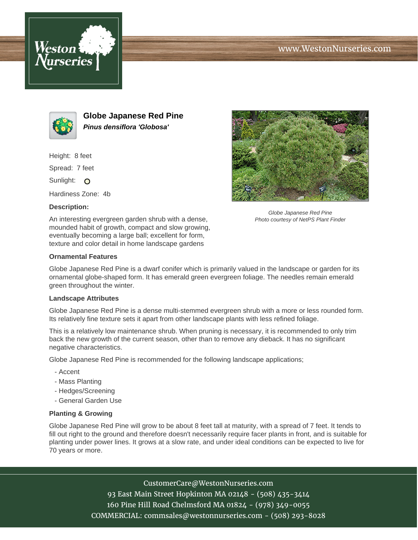





**Globe Japanese Red Pine Pinus densiflora 'Globosa'**

Height: 8 feet

Spread: 7 feet

Sunlight: O

Hardiness Zone: 4b

## **Description:**

An interesting evergreen garden shrub with a dense, mounded habit of growth, compact and slow growing, eventually becoming a large ball; excellent for form, texture and color detail in home landscape gardens



Globe Japanese Red Pine is a dwarf conifer which is primarily valued in the landscape or garden for its ornamental globe-shaped form. It has emerald green evergreen foliage. The needles remain emerald green throughout the winter.

## **Landscape Attributes**

Globe Japanese Red Pine is a dense multi-stemmed evergreen shrub with a more or less rounded form. Its relatively fine texture sets it apart from other landscape plants with less refined foliage.

This is a relatively low maintenance shrub. When pruning is necessary, it is recommended to only trim back the new growth of the current season, other than to remove any dieback. It has no significant negative characteristics.

Globe Japanese Red Pine is recommended for the following landscape applications;

- Accent
- Mass Planting
- Hedges/Screening
- General Garden Use

## **Planting & Growing**

Globe Japanese Red Pine will grow to be about 8 feet tall at maturity, with a spread of 7 feet. It tends to fill out right to the ground and therefore doesn't necessarily require facer plants in front, and is suitable for planting under power lines. It grows at a slow rate, and under ideal conditions can be expected to live for 70 years or more.

> CustomerCare@WestonNurseries.com 93 East Main Street Hopkinton MA 02148 - (508) 435-3414 160 Pine Hill Road Chelmsford MA 01824 - (978) 349-0055 COMMERCIAL: commsales@westonnurseries.com - (508) 293-8028



Globe Japanese Red Pine Photo courtesy of NetPS Plant Finder